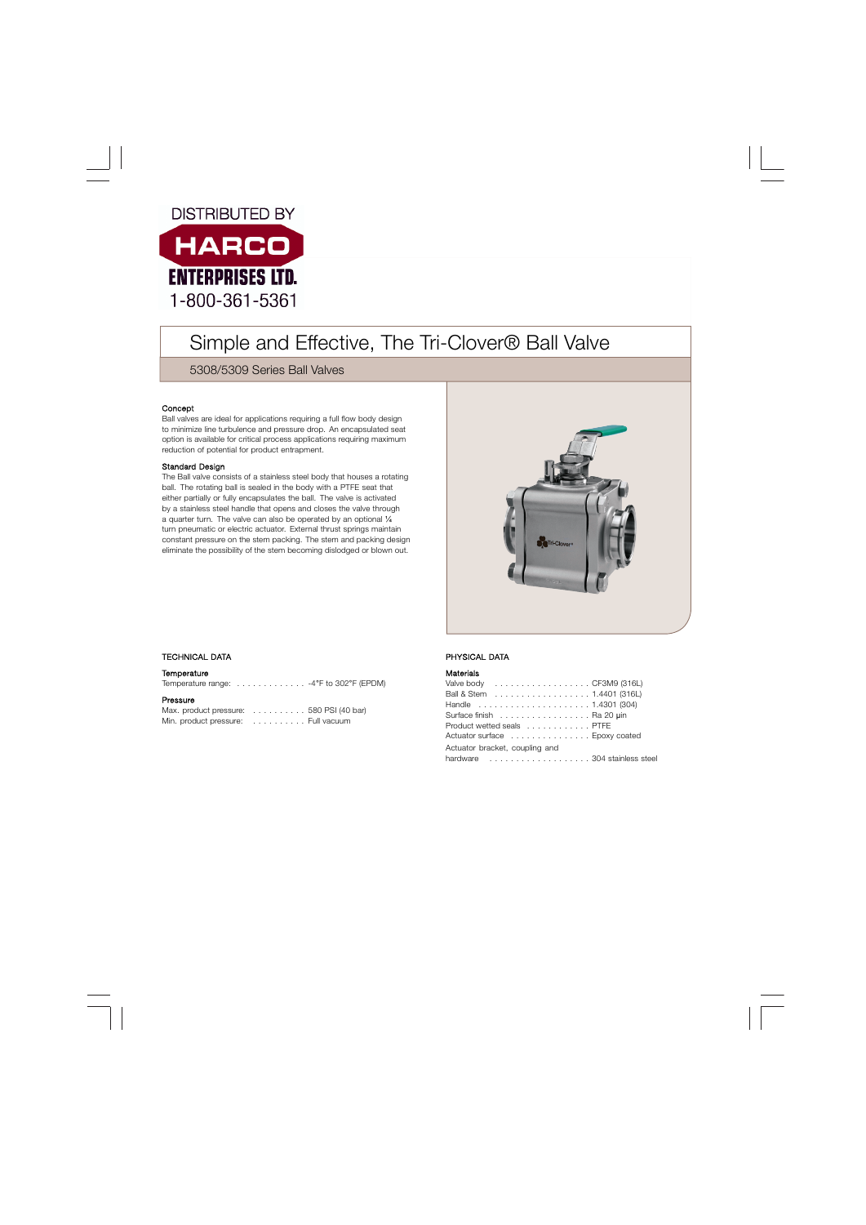# **DISTRIBUTED BY**



# Simple and Effective, The Tri-Clover® Ball Valve

5308/5309 Series Ball Valves

# Concept

Ball valves are ideal for applications requiring a full flow body design to minimize line turbulence and pressure drop. An encapsulated seat option is available for critical process applications requiring maximum reduction of potential for product entrapment.

# Standard Design

The Ball valve consists of a stainless steel body that houses a rotating ball. The rotating ball is sealed in the body with a PTFE seat that either partially or fully encapsulates the ball. The valve is activated by a stainless steel handle that opens and closes the valve through a quarter turn. The valve can also be operated by an optional ¼ turn pneumatic or electric actuator. External thrust springs maintain constant pressure on the stem packing. The stem and packing design eliminate the possibility of the stem becoming dislodged or blown out.



# . TECHNICAL DATA

#### **Temperature**

Temperature range: . . . . . . . . . . . . . -4°F to 302°F (EPDM)

### Pressure

Max. product pressure: . . . . . . . . . . 580 PSI (40 bar) Min. product pressure: . . . . . . . . . . Full vacuum

# PHYSICAL DATA

#### Materials

| Valve body CF3M9 (316L)        |  |
|--------------------------------|--|
| Ball & Stem 1.4401 (316L)      |  |
| Handle 1.4301 (304)            |  |
| Surface finish Ra 20 uin       |  |
| Product wetted seals PTFE      |  |
| Actuator surface Epoxy coated  |  |
| Actuator bracket, coupling and |  |
| hardware 304 stainless stee    |  |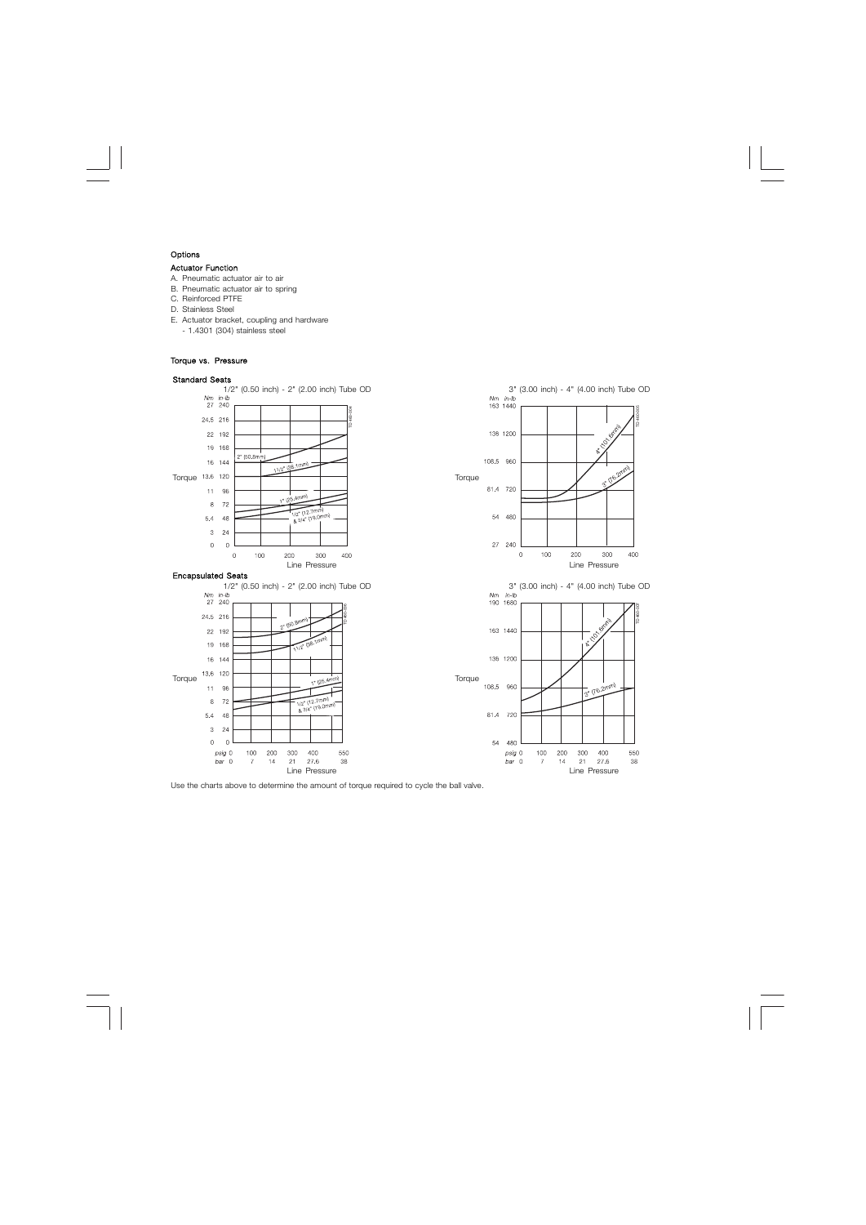#### Options

#### Actuator Function

- A. Pneumatic actuator air to air
- B. Pneumatic actuator air to spring
- C. Reinforced PTFE
- D. Stainless Steel
- E. Actuator bracket, coupling and hardware
- 1.4301 (304) stainless steel

#### Torque vs. Pressure

#### Standard Seats



Use the charts above to determine the amount of torque required to cycle the ball valve.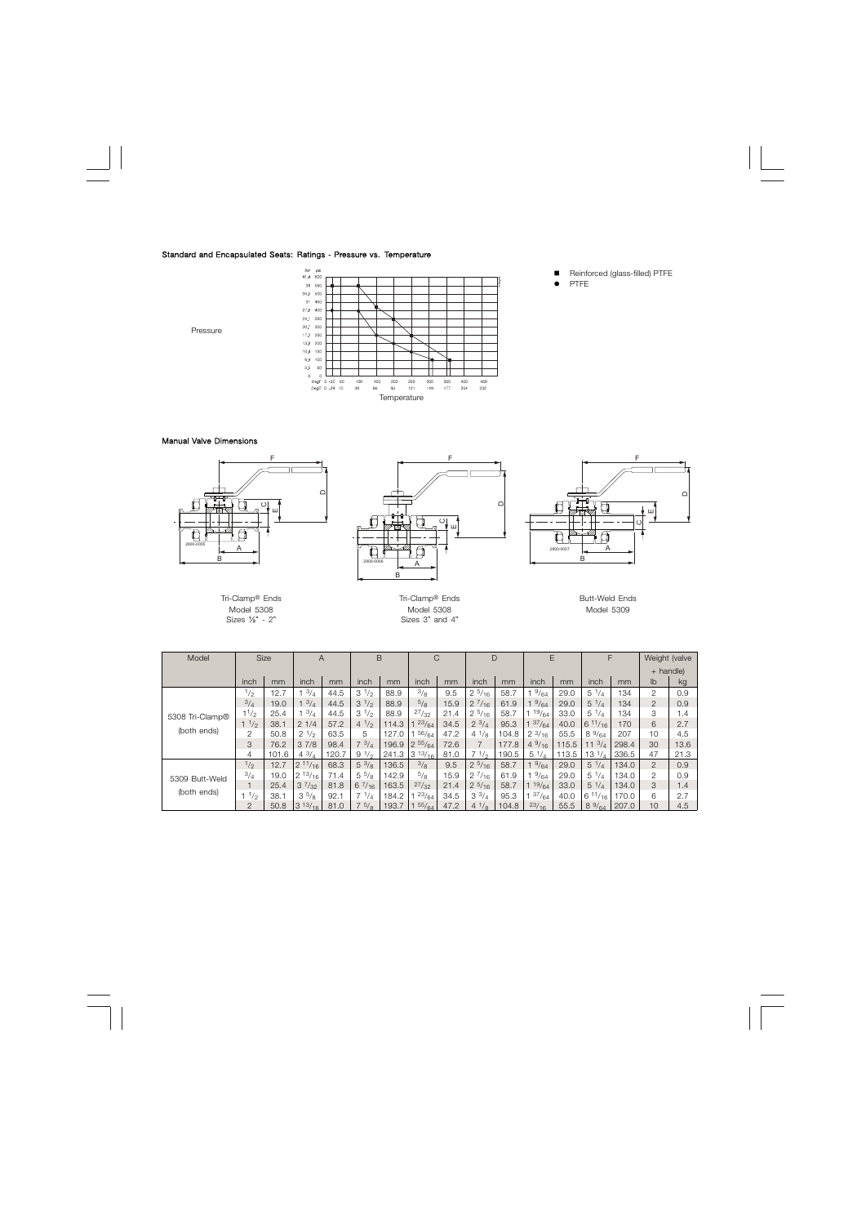#### Standard and Encapsulated Seats: Ratings - Pressure vs. Temperature



- Reinforced (glass-filled) PTFE
- PTFE

## Pressure

### Manual Valve Dimensions



Model 5308 Model 5308 Model 5308<br>Sizes 'z" sizes 3" and 4

Sizes 3" and 4"

| Model           |                 | <b>Size</b> | $\overline{A}$ |       | B               |       | C                |      |                  | D     | E               |       | F                |       | Weight (valve  |      |
|-----------------|-----------------|-------------|----------------|-------|-----------------|-------|------------------|------|------------------|-------|-----------------|-------|------------------|-------|----------------|------|
|                 |                 |             |                |       |                 |       |                  |      |                  |       |                 |       |                  |       | + handle)      |      |
|                 | inch            | mm          | inch           | mm    | inch            | mm    | inch             | mm   | inch             | mm    | inch            | mm    | inch             | mm    | lb             | kq   |
|                 | $\frac{1}{2}$   | 12.7        | 3/4            | 44.5  | $3^{1/2}$       | 88.9  | 3/8              | 9.5  | $2^{5/16}$       | 58.7  | 9/64            | 29.0  | $5 \frac{1}{4}$  | 134   | 2              | 0.9  |
|                 | 3/4             | 19.0        | 3/4            | 44.5  | $3^{1/2}$       | 88.9  | 5/8              | 15.9 | $2 \frac{7}{16}$ | 61.9  | 9/64            | 29.0  | $5 \frac{1}{4}$  | 134   | $\overline{2}$ | 0.9  |
| 5308 Tri-Clamp® | $1^{1/2}$       | 25.4        | 3/4            | 44.5  | $3^{1/2}$       | 88.9  | 27/32            | 21.4 | $2^{5/16}$       | 58.7  | 19/64           | 33.0  | $5 \frac{1}{4}$  | 134   | 3              | 1.4  |
|                 | 11/2            | 38.1        | 21/4           | 57.2  | $4^{1/2}$       | 114.3 | 23/64            | 34.5 | $2^{3/4}$        | 95.3  | 37/64           | 40.0  | 611/16           | 170   | 6              | 2.7  |
| (both ends)     | 2               | 50.8        | $2^{1/2}$      | 63.5  | 5               | 127.0 | 56/64            | 47.2 | $4^{1}/_8$       | 104.8 | $2^{3/16}$      | 55.5  | $8\frac{9}{64}$  | 207   | 10             | 4.5  |
|                 | 3               | 76.2        | 37/8           | 98.4  | $7 \frac{3}{4}$ | 196.9 | $2\frac{55}{64}$ | 72.6 |                  | 177.8 | $4\frac{9}{16}$ | 115.5 | $11 \frac{3}{4}$ | 298.4 | 30             | 13.6 |
|                 | 4               | 101.6       | $4^{3}/_{4}$   | 120.7 | 91/2            | 241.3 | $3^{13/16}$      | 81.0 | 71/2             | 190.5 | $5 \frac{1}{4}$ | 113.5 | $13 \frac{1}{4}$ | 336.5 | 47             | 21.3 |
|                 | 1/2             | 12.7        | $2^{11/16}$    | 68.3  | $5 \frac{3}{8}$ | 136.5 | 3/8              | 9.5  | $2^{5/16}$       | 58.7  | 9/64            | 29.0  | $5 \frac{1}{4}$  | 134.0 | $\overline{2}$ | 0.9  |
| 5309 Butt-Weld  | 3/4             | 19.0        | $2^{13/16}$    | 71.4  | $5\frac{5}{8}$  | 142.9 | $^{5}/_8$        | 15.9 | $2^{7}/_{16}$    | 61.9  | $^{9}/_{64}$    | 29.0  | $5 \frac{1}{4}$  | 134.0 | 2              | 0.9  |
|                 |                 | 25.4        | $3^{7}/_{32}$  | 81.8  | 67/16           | 163.5 | 27/32            | 21.4 | $2^{5/16}$       | 58.7  | 19/64           | 33.0  | $5 \frac{1}{4}$  | 134.0 | 3              | 1.4  |
| (both ends)     | $1 \frac{1}{2}$ | 38.1        | $3^{5}/8$      | 92.1  | $7 \frac{1}{4}$ | 184.2 | 23/64            | 34.5 | $3^{3}/_4$       | 95.3  | 37/64           | 40.0  | 611/16           | 170.0 | 6              | 2.7  |
|                 | $\mathcal{P}$   | 50.8        | $3^{13/16}$    | 81.0  | $7^{5}/8$       | 193.7 | 55/64            | 47.2 | $4^{1}/8$        | 104.8 | 23/16           | 55.5  | $8\frac{9}{64}$  | 207.0 | 10             | 4.5  |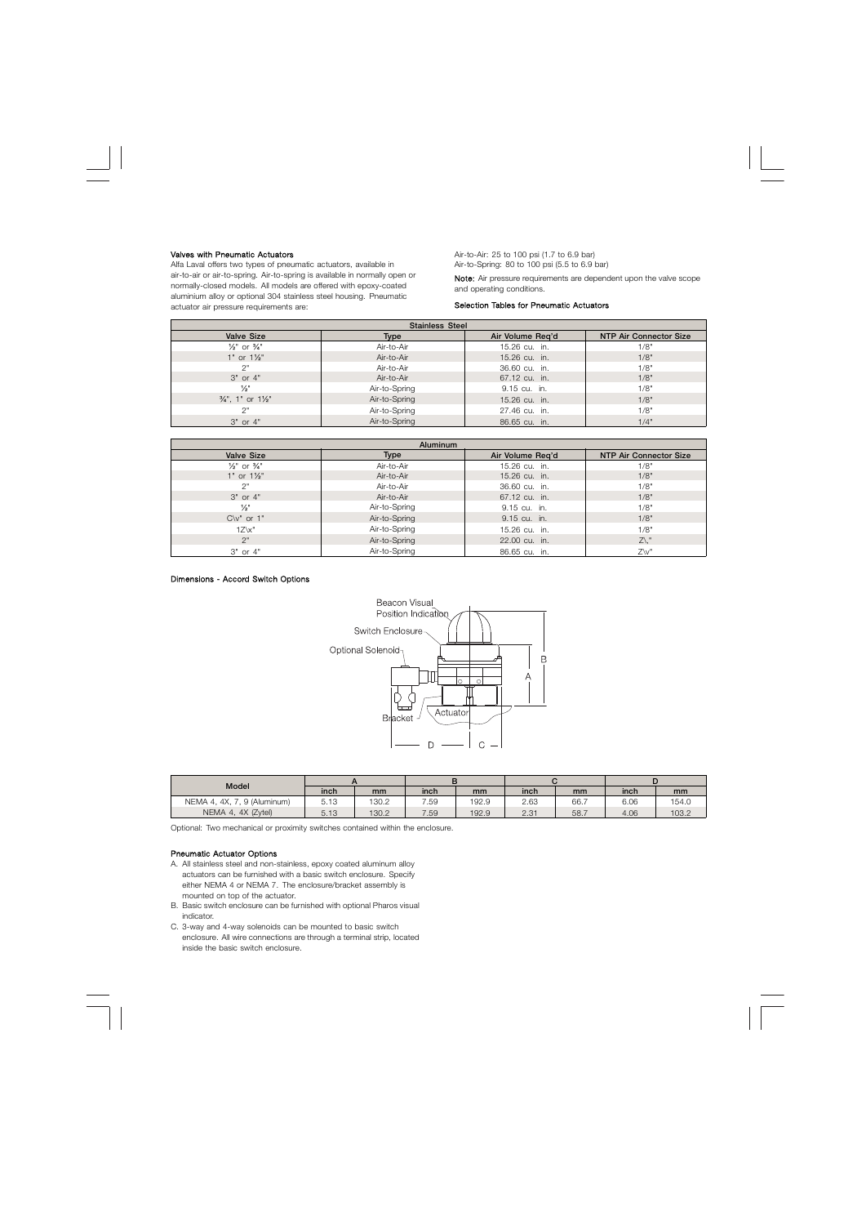#### Valves with Pneumatic Actuators

Alfa Laval offers two types of pneumatic actuators, available in air-to-air or air-to-spring. Air-to-spring is available in normally open or normally-closed models. All models are offered with epoxy-coated aluminium alloy or optional 304 stainless steel housing. Pneumatic actuator air pressure requirements are:

Air-to-Air: 25 to 100 psi (1.7 to 6.9 bar) Air-to-Spring: 80 to 100 psi (5.5 to 6.9 bar) Note: Air pressure requirements are dependent upon the valve scope and operating conditions.

#### Selection Tables for Pneumatic Actuators

| <b>Stainless Steel</b>                 |               |                  |                               |  |  |  |  |  |  |  |  |  |
|----------------------------------------|---------------|------------------|-------------------------------|--|--|--|--|--|--|--|--|--|
| <b>Valve Size</b>                      | <b>Type</b>   | Air Volume Reg'd | <b>NTP Air Connector Size</b> |  |  |  |  |  |  |  |  |  |
| $\frac{1}{2}$ " or $\frac{3}{4}$ "     | Air-to-Air    | 15.26 cu. in.    | 1/8"                          |  |  |  |  |  |  |  |  |  |
| $1"$ or $1\frac{1}{2}$ "               | Air-to-Air    | 15.26 cu. in.    | 1/8"                          |  |  |  |  |  |  |  |  |  |
| 2"                                     | Air-to-Air    | 36.60 cu. in.    | 1/8"                          |  |  |  |  |  |  |  |  |  |
| $3"$ or $4"$                           | Air-to-Air    | 67.12 cu. in.    | 1/8"                          |  |  |  |  |  |  |  |  |  |
| $\frac{1}{2}$ "                        | Air-to-Spring | 9.15 cu. in.     | 1/8"                          |  |  |  |  |  |  |  |  |  |
| $\frac{3}{4}$ ", 1" or $\frac{1}{2}$ " | Air-to-Spring | 15.26 cu. in.    | 1/8"                          |  |  |  |  |  |  |  |  |  |
| 2"                                     | Air-to-Spring | 27.46 cu. in.    | 1/8"                          |  |  |  |  |  |  |  |  |  |
| $3"$ or $4"$                           | Air-to-Spring | 86.65 cu. in.    | 1/4"                          |  |  |  |  |  |  |  |  |  |

|                                    | <b>Aluminum</b> |                  |                               |  |  |  |  |  |  |  |  |  |  |
|------------------------------------|-----------------|------------------|-------------------------------|--|--|--|--|--|--|--|--|--|--|
| <b>Valve Size</b>                  | <b>Type</b>     | Air Volume Reg'd | <b>NTP Air Connector Size</b> |  |  |  |  |  |  |  |  |  |  |
| $\frac{1}{2}$ " or $\frac{3}{4}$ " | Air-to-Air      | 15.26 cu. in.    | 1/8"                          |  |  |  |  |  |  |  |  |  |  |
| $1"$ or $1\frac{1}{2}$             | Air-to-Air      | 15.26 cu. in.    | 1/8"                          |  |  |  |  |  |  |  |  |  |  |
| 2"                                 | Air-to-Air      | 36.60 cu. in.    | 1/8"                          |  |  |  |  |  |  |  |  |  |  |
| $3"$ or $4"$                       | Air-to-Air      | 67.12 cu. in.    | 1/8"                          |  |  |  |  |  |  |  |  |  |  |
| $\frac{1}{2}$ "                    | Air-to-Spring   | 9.15 cu. in.     | 1/8"                          |  |  |  |  |  |  |  |  |  |  |
| $C\vee''$ or $1"$                  | Air-to-Spring   | 9.15 cu. in.     | 1/8"                          |  |  |  |  |  |  |  |  |  |  |
| $1Z\&V$                            | Air-to-Spring   | 15.26 cu. in.    | 1/8"                          |  |  |  |  |  |  |  |  |  |  |
| 2"                                 | Air-to-Spring   | 22.00 cu. in.    | $Z\backslash$ "               |  |  |  |  |  |  |  |  |  |  |
| $3"$ or $4"$                       | Air-to-Spring   | 86.65 cu. in.    | $Z\vee$ "                     |  |  |  |  |  |  |  |  |  |  |

#### Dimensions - Accord Switch Options



| Model                           | inch           | mm    | inch | mm    | inch | mm   | inch | mm    |  |
|---------------------------------|----------------|-------|------|-------|------|------|------|-------|--|
| NEMA 4, 4X,<br>, , 9 (Aluminum) | 512<br>ن. ا ن  | 130.2 | 7.59 | 192.9 | 2.63 | 66.7 | 6.06 | 154.0 |  |
| NEMA 4.<br>4X (Zytel)           | 512<br>ں . ا ن | 130.2 | 7.59 | 192.9 | 2.31 | 58.7 | 4.06 | 103.2 |  |

Optional: Two mechanical or proximity switches contained within the enclosure.

#### Pneumatic Actuator Options

- A. All stainless steel and non-stainless, epoxy coated aluminum alloy actuators can be furnished with a basic switch enclosure. Specify either NEMA 4 or NEMA 7. The enclosure/bracket assembly is mounted on top of the actuator.
- B. Basic switch enclosure can be furnished with optional Pharos visual indicator.
- C. 3-way and 4-way solenoids can be mounted to basic switch enclosure. All wire connections are through a terminal strip, located inside the basic switch enclosure.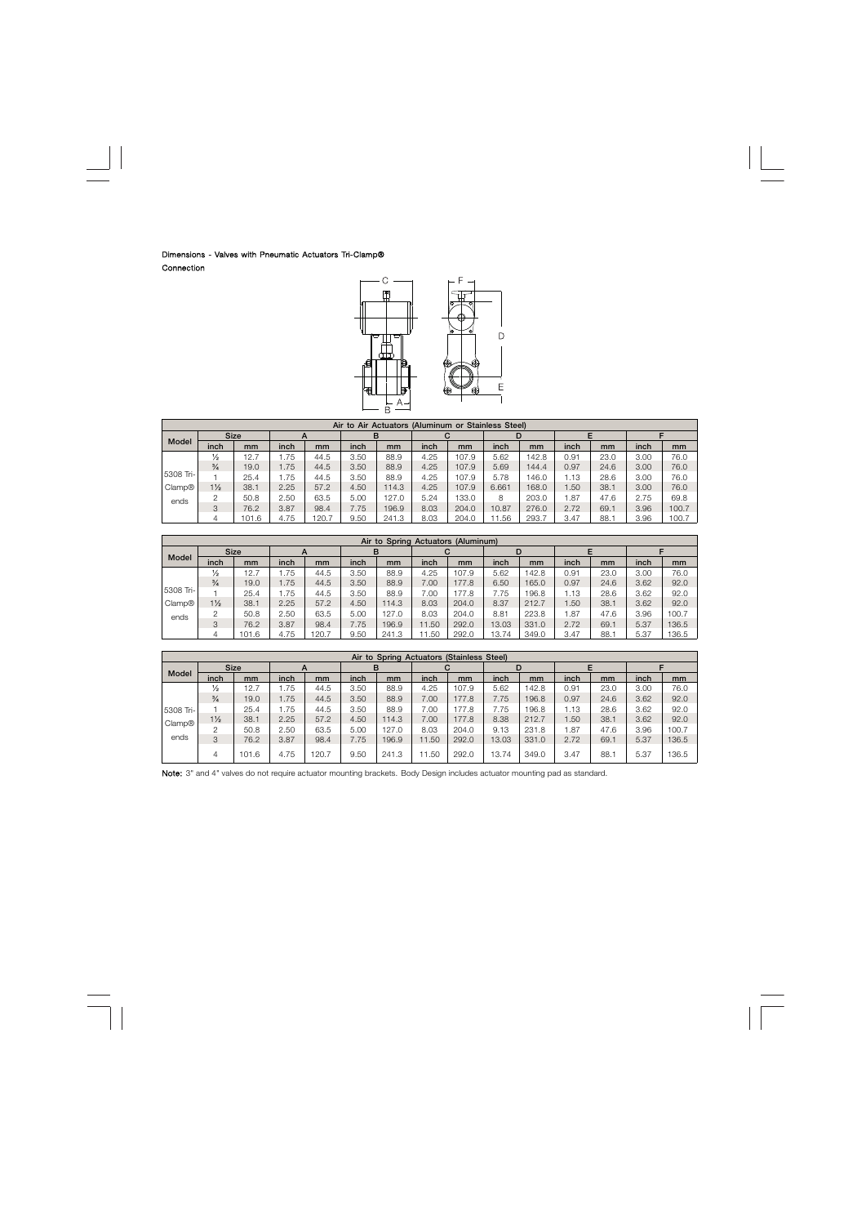# Dimensions - Valves with Pneumatic Actuators Tri-Clamp® Connection



|                    | Air to Air Actuators (Aluminum or Stainless Steel) |             |      |       |      |       |      |       |       |       |                  |      |      |       |
|--------------------|----------------------------------------------------|-------------|------|-------|------|-------|------|-------|-------|-------|------------------|------|------|-------|
|                    |                                                    | <b>Size</b> |      |       | в    |       |      |       | D     |       |                  |      |      |       |
| Model              | inch                                               | mm          | inch | mm    | inch | mm    | inch | mm    | inch  | mm    | inch             | mm   | inch | mm    |
|                    | $\frac{1}{2}$                                      | 12.7        | 1.75 | 44.5  | 3.50 | 88.9  | 4.25 | 107.9 | 5.62  | 142.8 | 0.91             | 23.0 | 3.00 | 76.0  |
|                    | $\frac{3}{4}$                                      | 19.0        | 1.75 | 44.5  | 3.50 | 88.9  | 4.25 | 107.9 | 5.69  | 144.4 | 0.97             | 24.6 | 3.00 | 76.0  |
| 5308 Tri-          |                                                    | 25.4        | 1.75 | 44.5  | 3.50 | 88.9  | 4.25 | 107.9 | 5.78  | 146.0 | 1.13             | 28.6 | 3.00 | 76.0  |
| Clamp <sup>®</sup> | $1\frac{1}{2}$                                     | 38.1        | 2.25 | 57.2  | 4.50 | 14.3  | 4.25 | 107.9 | 6.661 | 168.0 | .50 <sub>1</sub> | 38.1 | 3.00 | 76.0  |
| ends               | 2                                                  | 50.8        | 2.50 | 63.5  | 5.00 | 127.0 | 5.24 | 133.0 | 8     | 203.0 | .87              | 47.6 | 2.75 | 69.8  |
|                    | 3                                                  | 76.2        | 3.87 | 98.4  | 7.75 | 196.9 | 8.03 | 204.0 | 10.87 | 276.0 | 2.72             | 69.1 | 3.96 | 100.7 |
|                    |                                                    | 101.6       | 4.75 | 120.7 | 9.50 | 241.3 | 8.03 | 204.0 | .56   | 293.7 | 3.47             | 88.7 | 3.96 | 100.7 |

|           | Air to Spring Actuators (Aluminum) |             |      |       |      |       |       |       |       |       |       |      |      |       |  |
|-----------|------------------------------------|-------------|------|-------|------|-------|-------|-------|-------|-------|-------|------|------|-------|--|
|           |                                    | <b>Size</b> | A    |       | в    |       |       | С     |       |       |       |      |      |       |  |
| Model     | inch                               | mm          | inch | mm    | inch | mm    | inch  | mm    | inch  | mm    | inch  | mm   | inch | mm    |  |
|           | $\frac{1}{2}$                      | 12.1        | .75  | 44.5  | 3.50 | 88.9  | 4.25  | 107.9 | 5.62  | 142.8 | 0.91  | 23.0 | 3.00 | 76.0  |  |
|           | $\frac{3}{4}$                      | 19.0        | .75  | 44.5  | 3.50 | 88.9  | 7.00  | 177.8 | 6.50  | 165.0 | 0.97  | 24.6 | 3.62 | 92.0  |  |
| 5308 Tri- |                                    | 25.4        | .75  | 44.5  | 3.50 | 88.9  | .00   | 177.8 | 7.75  | 196.8 | .13   | 28.6 | 3.62 | 92.0  |  |
| Clamp®    | $1\frac{1}{2}$                     | 38.1        | 2.25 | 57.2  | 4.50 | 114.3 | 8.03  | 204.0 | 8.37  | 212.7 | .50   | 38.1 | 3.62 | 92.0  |  |
| ends      |                                    | 50.8        | 2.50 | 63.5  | 5.00 | 127.0 | 8.03  | 204.0 | 8.81  | 223.8 | . .87 | 47.6 | 3.96 | 100.7 |  |
|           | 3                                  | 76.2        | 3.87 | 98.4  | 7.75 | 196.9 | 11.50 | 292.0 | 13.03 | 331.0 | 2.72  | 69.1 | 5.37 | 136.5 |  |
|           |                                    | 101.6       | 4.75 | 120.7 | 9.50 | 241.3 | 1.50  | 292.0 | 13.74 | 349.0 | 3.47  | 88.1 | 5.37 | 136.5 |  |

|                    | Air to Spring Actuators (Stainless Steel) |       |      |       |      |       |       |       |       |       |      |      |      |       |  |
|--------------------|-------------------------------------------|-------|------|-------|------|-------|-------|-------|-------|-------|------|------|------|-------|--|
|                    | <b>Size</b>                               |       |      |       | в    |       |       |       |       |       |      |      |      |       |  |
| Model              | inch                                      | mm    | inch | mm    | inch | mm    | inch  | mm    | inch  | mm    | inch | mm   | inch | mm    |  |
|                    | $\frac{1}{2}$                             | 12.7  | 1.75 | 44.5  | 3.50 | 88.9  | 4.25  | 107.9 | 5.62  | 142.8 | 0.91 | 23.0 | 3.00 | 76.0  |  |
|                    | $\frac{3}{4}$                             | 19.0  | 1.75 | 44.5  | 3.50 | 88.9  | 7.00  | 177.8 | 7.75  | 196.8 | 0.97 | 24.6 | 3.62 | 92.0  |  |
| 5308 Tri-          |                                           | 25.4  | .75  | 44.5  | 3.50 | 88.9  | 00.7  | 177.8 | 7.75  | 196.8 | .13  | 28.6 | 3.62 | 92.0  |  |
| Clamp <sup>®</sup> | $1\frac{1}{2}$                            | 38.1  | 2.25 | 57.2  | 4.50 | 114.3 | 7.00  | 177.8 | 8.38  | 212.7 | .50  | 38.1 | 3.62 | 92.0  |  |
|                    | 2                                         | 50.8  | 2.50 | 63.5  | 5.00 | 127.0 | 8.03  | 204.0 | 9.13  | 231.8 | .87  | 47.6 | 3.96 | 100.7 |  |
| ends               | 3                                         | 76.2  | 3.87 | 98.4  | 7.75 | 196.9 | 11.50 | 292.0 | 13.03 | 331.0 | 2.72 | 69.1 | 5.37 | 136.5 |  |
|                    | 4                                         | 101.6 | 4.75 | 120.7 | 9.50 | 241.3 | 1.50  | 292.0 | 13.74 | 349.0 | 3.47 | 88.  | 5.37 | 136.5 |  |

Note: 3" and 4" valves do not require actuator mounting brackets. Body Design includes actuator mounting pad as standard.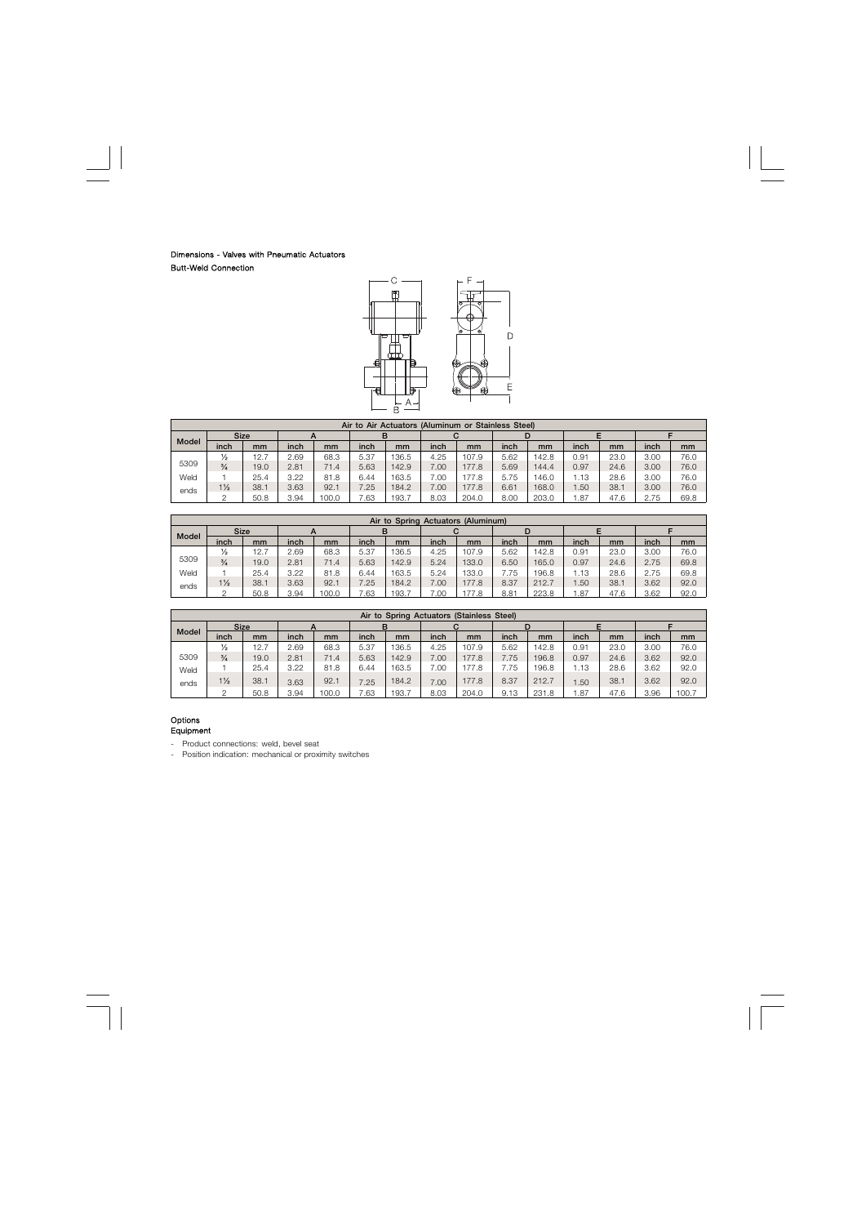# Dimensions - Valves with Pneumatic Actuators Butt-Weld Connection



|              | Air to Air Actuators (Aluminum or Stainless Steel) |      |      |       |      |       |      |       |      |       |       |      |      |      |
|--------------|----------------------------------------------------|------|------|-------|------|-------|------|-------|------|-------|-------|------|------|------|
|              | <b>Size</b>                                        |      |      |       | в    |       |      |       |      |       |       |      |      |      |
| <b>Model</b> | inch                                               | mm   | inch | mm    | inch | mm    | inch | mm    | inch | mm    | inch  | mm   | inch | mm   |
|              | $\frac{1}{2}$                                      | 12.7 | 2.69 | 68.3  | 5.37 | 136.5 | 4.25 | 107.9 | 5.62 | 142.8 | 0.91  | 23.0 | 3.00 | 76.0 |
| 5309         | $\frac{3}{4}$                                      | 19.0 | 2.81 | 71.4  | 5.63 | 142.9 | 00.7 | 177.8 | 5.69 | 144.4 | 0.97  | 24.6 | 3.00 | 76.0 |
| Weld         |                                                    | 25.4 | 3.22 | 81.8  | 6.44 | 163.5 | 00.  | 177.8 | 5.75 | 146.0 | 13، ا | 28.6 | 3.00 | 76.0 |
| ends         | $1\frac{1}{2}$                                     | 38.1 | 3.63 | 92.1  | 7.25 | 184.2 | 00.7 | 177.8 | 6.61 | 168.0 | .50   | 38.1 | 3.00 | 76.0 |
|              |                                                    | 50.8 | 3.94 | 100.0 | .63  | 193.7 | 8.03 | 204.0 | 8.00 | 203.0 | .87   | 47.6 | 2.75 | 69.8 |

|              | Air to Spring Actuators (Aluminum) |      |      |       |      |       |      |       |      |       |      |      |      |      |  |
|--------------|------------------------------------|------|------|-------|------|-------|------|-------|------|-------|------|------|------|------|--|
|              | <b>Size</b>                        |      |      |       | в    |       |      |       |      |       |      |      |      |      |  |
| <b>Model</b> | inch                               | mm   | inch | mm    | inch | mm    | inch | mm    | inch | mm    | inch | mm   | inch | mm   |  |
|              | $\frac{1}{2}$                      | 12.7 | 2.69 | 68.3  | 5.37 | 136.5 | 4.25 | 107.9 | 5.62 | 142.8 | 0.91 | 23.0 | 3.00 | 76.0 |  |
| 5309         | $\frac{3}{4}$                      | 19.0 | 2.81 | 71.4  | 5.63 | 142.9 | 5.24 | 133.0 | 6.50 | 165.0 | 0.97 | 24.6 | 2.75 | 69.8 |  |
| Weld         |                                    | 25.4 | 3.22 | 81.8  | 6.44 | 163.5 | 5.24 | 133.0 | 7.75 | 196.8 | . 13 | 28.6 | 2.75 | 69.8 |  |
| ends         | $1\frac{1}{2}$                     | 38.1 | 3.63 | 92.1  | 7.25 | 184.2 | 7.00 | 177.8 | 8.37 | 212.7 | .50  | 38.1 | 3.62 | 92.0 |  |
|              |                                    | 50.8 | 3.94 | 100.0 | .63  | 193.7 | .00. | 177.8 | 8.81 | 223.8 | .87  | 47.6 | 3.62 | 92.0 |  |

|              | Air to Spring Actuators (Stainless Steel) |             |      |       |      |       |      |       |      |       |      |      |      |       |
|--------------|-------------------------------------------|-------------|------|-------|------|-------|------|-------|------|-------|------|------|------|-------|
|              |                                           | <b>Size</b> |      |       |      |       |      |       |      | D     |      |      |      |       |
| <b>Model</b> | inch                                      | mm          | inch | mm    | inch | mm    | inch | mm    | inch | mm    | inch | mm   | inch | mm    |
|              | $\frac{1}{2}$                             | 12.7        | 2.69 | 68.3  | 5.37 | 136.5 | 4.25 | 107.9 | 5.62 | 142.8 | 0.91 | 23.0 | 3.00 | 76.0  |
| 5309         | $\frac{3}{4}$                             | 19.0        | 2.81 | 71.4  | 5.63 | 142.9 | 7.00 | 177.8 | 7.75 | 196.8 | 0.97 | 24.6 | 3.62 | 92.0  |
| Weld         |                                           | 25.4        | 3.22 | 81.8  | 6.44 | 163.5 | 7.00 | 177.8 | 7.75 | 196.8 | . 13 | 28.6 | 3.62 | 92.0  |
| ends         | $1\frac{1}{2}$                            | 38.1        | 3.63 | 92.1  | 7.25 | 184.2 | 7.00 | 177.8 | 8.37 | 212.7 | .50  | 38.1 | 3.62 | 92.0  |
|              |                                           | 50.8        | 3.94 | 100.0 | .63  | 193.7 | 8.03 | 204.0 | 9.13 | 231.8 | .87  | 47.6 | 3.96 | 100.7 |

#### Options Equipment

- Product connections: weld, bevel seat

- Position indication: mechanical or proximity switches